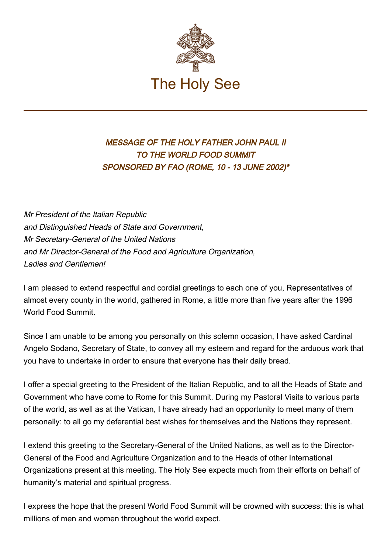

## MESSAGE OF THE HOLY FATHER JOHN PAUL II TO THE WORLD FOOD SUMMIT SPONSORED BY FAO (ROME, 10 - 13 JUNE 2002)\*

Mr President of the Italian Republic and Distinguished Heads of State and Government, Mr Secretary-General of the United Nations and Mr Director-General of the Food and Agriculture Organization, Ladies and Gentlemen!

I am pleased to extend respectful and cordial greetings to each one of you, Representatives of almost every county in the world, gathered in Rome, a little more than five years after the 1996 World Food Summit.

Since I am unable to be among you personally on this solemn occasion, I have asked Cardinal Angelo Sodano, Secretary of State, to convey all my esteem and regard for the arduous work that you have to undertake in order to ensure that everyone has their daily bread.

I offer a special greeting to the President of the Italian Republic, and to all the Heads of State and Government who have come to Rome for this Summit. During my Pastoral Visits to various parts of the world, as well as at the Vatican, I have already had an opportunity to meet many of them personally: to all go my deferential best wishes for themselves and the Nations they represent.

I extend this greeting to the Secretary-General of the United Nations, as well as to the Director-General of the Food and Agriculture Organization and to the Heads of other International Organizations present at this meeting. The Holy See expects much from their efforts on behalf of humanity's material and spiritual progress.

I express the hope that the present World Food Summit will be crowned with success: this is what millions of men and women throughout the world expect.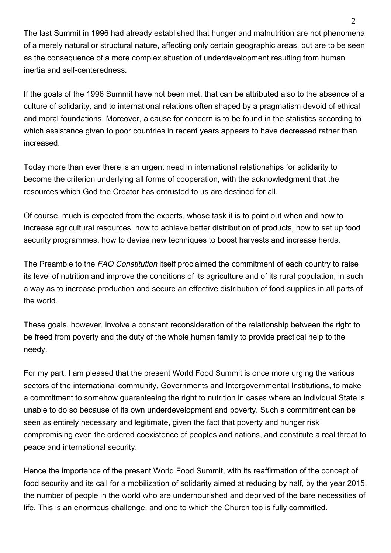The last Summit in 1996 had already established that hunger and malnutrition are not phenomena of a merely natural or structural nature, affecting only certain geographic areas, but are to be seen as the consequence of a more complex situation of underdevelopment resulting from human inertia and self-centeredness.

If the goals of the 1996 Summit have not been met, that can be attributed also to the absence of a culture of solidarity, and to international relations often shaped by a pragmatism devoid of ethical and moral foundations. Moreover, a cause for concern is to be found in the statistics according to which assistance given to poor countries in recent years appears to have decreased rather than increased.

Today more than ever there is an urgent need in international relationships for solidarity to become the criterion underlying all forms of cooperation, with the acknowledgment that the resources which God the Creator has entrusted to us are destined for all.

Of course, much is expected from the experts, whose task it is to point out when and how to increase agricultural resources, how to achieve better distribution of products, how to set up food security programmes, how to devise new techniques to boost harvests and increase herds.

The Preamble to the FAO Constitution itself proclaimed the commitment of each country to raise its level of nutrition and improve the conditions of its agriculture and of its rural population, in such a way as to increase production and secure an effective distribution of food supplies in all parts of the world.

These goals, however, involve a constant reconsideration of the relationship between the right to be freed from poverty and the duty of the whole human family to provide practical help to the needy.

For my part, I am pleased that the present World Food Summit is once more urging the various sectors of the international community, Governments and Intergovernmental Institutions, to make a commitment to somehow guaranteeing the right to nutrition in cases where an individual State is unable to do so because of its own underdevelopment and poverty. Such a commitment can be seen as entirely necessary and legitimate, given the fact that poverty and hunger risk compromising even the ordered coexistence of peoples and nations, and constitute a real threat to peace and international security.

Hence the importance of the present World Food Summit, with its reaffirmation of the concept of food security and its call for a mobilization of solidarity aimed at reducing by half, by the year 2015, the number of people in the world who are undernourished and deprived of the bare necessities of life. This is an enormous challenge, and one to which the Church too is fully committed.